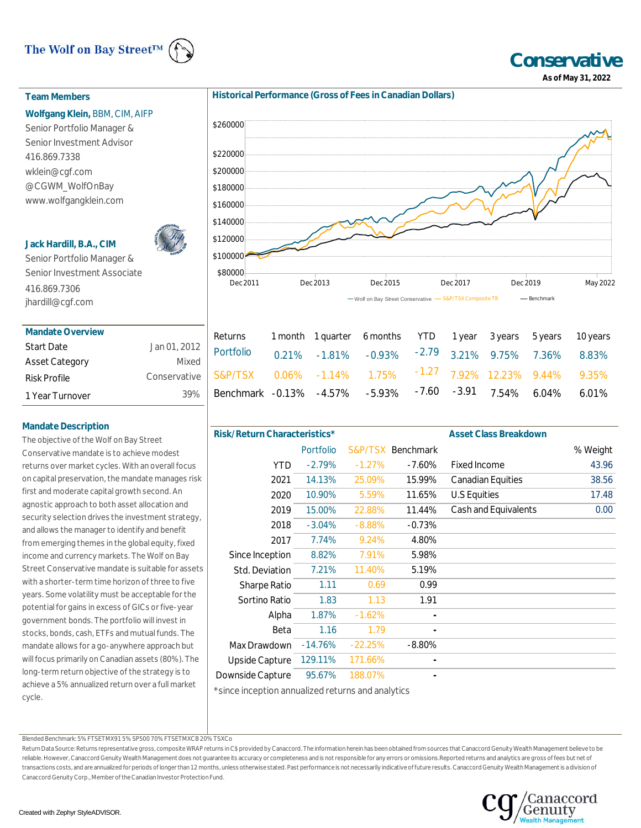# The Wolf on Bay Street™



# **Team Members**

#### **Wolfgang Klein,** BBM, CIM, AIFP

Senior Portfolio Manager & Senior Investment Advisor 416.869.7338 wklein@cgf.com @CGWM\_WolfOnBay www.wolfgangklein.com

## **Jack Hardill, B.A., CIM**



Senior Portfolio Manager & Senior Investment Associate 416.869.7306 jhardill@cgf.com

| <b>Mandate Overview</b> |              |
|-------------------------|--------------|
| <b>Start Date</b>       | Jan 01, 2012 |
| <b>Asset Category</b>   | Mixed        |
| Risk Profile            | Conservative |
| 1 Year Turnover         | 39%          |

# **Mandate Description**

The objective of the Wolf on Bay Street Conservative mandate is to achieve modest returns over market cycles. With an overall focus on capital preservation, the mandate manages risk first and moderate capital growth second. An agnostic approach to both asset allocation and security selection drives the investment strategy, and allows the manager to identify and benefit from emerging themes in the global equity, fixed income and currency markets. The Wolf on Bay Street Conservative mandate is suitable for assets with a shorter-term time horizon of three to five years. Some volatility must be acceptable for the potential for gains in excess of GICs or five-year government bonds. The portfolio will invest in stocks, bonds, cash, ETFs and mutual funds. The mandate allows for a go-anywhere approach but will focus primarily on Canadian assets (80%). The long-term return objective of the strategy is to achieve a 5% annualized return over a full market cycle.





| Returns 1 month 1 quarter 6 months YTD 1 year 3 years 5 years 10 years                                                                           |  |  |  |  |
|--------------------------------------------------------------------------------------------------------------------------------------------------|--|--|--|--|
| Returns 1 month 1 quarter 6 months YID 1 year 3 years 5 years 10 years<br>Portfolio 0.21% -1.81% -0.93% <sup>-2.79</sup> 3.21% 9.75% 7.36% 8.83% |  |  |  |  |
|                                                                                                                                                  |  |  |  |  |
| $\frac{1}{6}$ Benchmark -0.13% -4.57% -5.93% -7.60 -3.91 7.54% 6.04% 6.01%                                                                       |  |  |  |  |
|                                                                                                                                                  |  |  |  |  |

| Risk/Return Characteristics* |                  |           |           | <b>Asset Class Breakdown</b> |          |
|------------------------------|------------------|-----------|-----------|------------------------------|----------|
|                              | <b>Portfolio</b> | S&P/TSX   | Benchmark |                              | % Weight |
| <b>YTD</b>                   | $-2.79%$         | $-1.27%$  | -7.60%    | <b>Fixed Income</b>          | 43.96    |
| 2021                         | 14.13%           | 25.09%    | 15.99%    | <b>Canadian Equities</b>     | 38.56    |
| 2020                         | 10.90%           | 5.59%     | 11.65%    | U.S Equities                 | 17.48    |
| 2019                         | 15.00%           | 22.88%    | 11.44%    | Cash and Equivalents         | 0.00     |
| 2018                         | $-3.04%$         | $-8.88%$  | $-0.73%$  |                              |          |
| 2017                         | 7.74%            | 9.24%     | 4.80%     |                              |          |
| Since Inception              | 8.82%            | 7.91%     | 5.98%     |                              |          |
| Std. Deviation               | 7.21%            | 11.40%    | 5.19%     |                              |          |
| <b>Sharpe Ratio</b>          | 1.11             | 0.69      | 0.99      |                              |          |
| Sortino Ratio                | 1.83             | 1.13      | 1.91      |                              |          |
| Alpha                        | 1.87%            | $-1.62%$  |           |                              |          |
| Beta                         | 1.16             | 1.79      |           |                              |          |
| Max Drawdown                 | $-14.76%$        | $-22.25%$ | $-8.80%$  |                              |          |
| Upside Capture               | 129.11%          | 171.66%   |           |                              |          |
| Downside Capture             | 95.67%           | 188.07%   |           |                              |          |
| .                            |                  |           |           |                              |          |

\*since inception annualized returns and analytics

Blended Benchmark: 5% FTSETMX91 5% SP500 70% FTSETMXCB 20% TSXCo

Return Data Source: Returns representative gross, composite WRAP returns in C\$ provided by Canaccord. The information herein has been obtained from sources that Canaccord Genuity Wealth Management believe to be reliable. However, Canaccord Genuity Wealth Management does not guarantee its accuracy or completeness and is not responsible for any errors or omissions.Reported returns and analytics are gross of fees but net of transactions costs, and are annualized for periods of longer than 12 months, unless otherwise stated. Past performance is not necessarily indicative of future results. Canaccord Genuity Wealth Management is a division of Canaccord Genuity Corp., Member of the Canadian Investor Protection Fund.



**Conservative As of May 31, 2022**